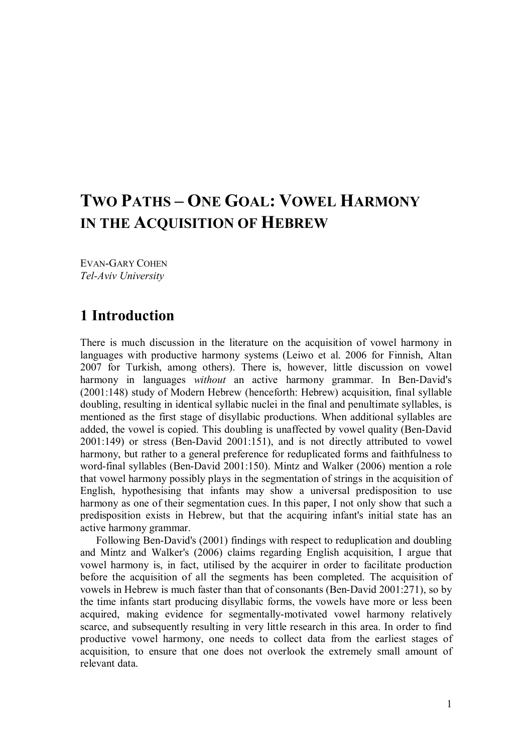# **TWO PATHS – ONE GOAL: VOWEL HARMONY IN THE ACQUISITION OF HEBREW**

EVAN-GARY COHEN *Tel-Aviv University*

## **1 Introduction**

There is much discussion in the literature on the acquisition of vowel harmony in languages with productive harmony systems (Leiwo et al. 2006 for Finnish, Altan 2007 for Turkish, among others). There is, however, little discussion on vowel harmony in languages *without* an active harmony grammar. In Ben-David's (2001:148) study of Modern Hebrew (henceforth: Hebrew) acquisition, final syllable doubling, resulting in identical syllabic nuclei in the final and penultimate syllables, is mentioned as the first stage of disyllabic productions. When additional syllables are added, the vowel is copied. This doubling is unaffected by vowel quality (Ben-David 2001:149) or stress (Ben-David 2001:151), and is not directly attributed to vowel harmony, but rather to a general preference for reduplicated forms and faithfulness to word-final syllables (Ben-David 2001:150). Mintz and Walker (2006) mention a role that vowel harmony possibly plays in the segmentation of strings in the acquisition of English, hypothesising that infants may show a universal predisposition to use harmony as one of their segmentation cues. In this paper, I not only show that such a predisposition exists in Hebrew, but that the acquiring infant's initial state has an active harmony grammar.

Following Ben-David's (2001) findings with respect to reduplication and doubling and Mintz and Walker's (2006) claims regarding English acquisition, I argue that vowel harmony is, in fact, utilised by the acquirer in order to facilitate production before the acquisition of all the segments has been completed. The acquisition of vowels in Hebrew is much faster than that of consonants (Ben-David 2001:271), so by the time infants start producing disyllabic forms, the vowels have more or less been acquired, making evidence for segmentally-motivated vowel harmony relatively scarce, and subsequently resulting in very little research in this area. In order to find productive vowel harmony, one needs to collect data from the earliest stages of acquisition, to ensure that one does not overlook the extremely small amount of relevant data.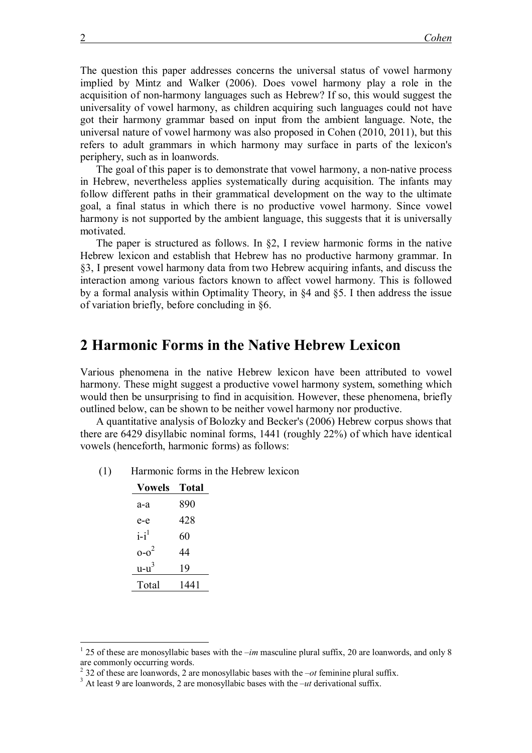The question this paper addresses concerns the universal status of vowel harmony implied by Mintz and Walker (2006). Does vowel harmony play a role in the acquisition of non-harmony languages such as Hebrew? If so, this would suggest the universality of vowel harmony, as children acquiring such languages could not have got their harmony grammar based on input from the ambient language. Note, the universal nature of vowel harmony was also proposed in Cohen (2010, 2011), but this refers to adult grammars in which harmony may surface in parts of the lexicon's periphery, such as in loanwords.

The goal of this paper is to demonstrate that vowel harmony, a non-native process in Hebrew, nevertheless applies systematically during acquisition. The infants may follow different paths in their grammatical development on the way to the ultimate goal, a final status in which there is no productive vowel harmony. Since vowel harmony is not supported by the ambient language, this suggests that it is universally motivated.

The paper is structured as follows. In  $\S2$ , I review harmonic forms in the native Hebrew lexicon and establish that Hebrew has no productive harmony grammar. In §3, I present vowel harmony data from two Hebrew acquiring infants, and discuss the interaction among various factors known to affect vowel harmony. This is followed by a formal analysis within Optimality Theory, in §4 and §5. I then address the issue of variation briefly, before concluding in §6.

## **2 Harmonic Forms in the Native Hebrew Lexicon**

Various phenomena in the native Hebrew lexicon have been attributed to vowel harmony. These might suggest a productive vowel harmony system, something which would then be unsurprising to find in acquisition. However, these phenomena, briefly outlined below, can be shown to be neither vowel harmony nor productive.

A quantitative analysis of Bolozky and Becker's (2006) Hebrew corpus shows that there are 6429 disyllabic nominal forms, 1441 (roughly 22%) of which have identical vowels (henceforth, harmonic forms) as follows:

(1) Harmonic forms in the Hebrew lexicon

| <b>Vowels</b> | Total |
|---------------|-------|
| а-а           | 890   |
| e-e           | 428   |
| $i-i^1$       | 60    |
| $0 - 0^2$     | 44    |
| $u-u^3$       | 19    |
| Total         | 1441  |
|               |       |

 $\overline{a}$ 

<sup>&</sup>lt;sup>1</sup> 25 of these are monosyllabic bases with the *–im* masculine plural suffix, 20 are loanwords, and only 8 are commonly occurring words.

<sup>&</sup>lt;sup>2</sup> 32 of these are loanwords, 2 are monosyllabic bases with the  $-ot$  feminine plural suffix.

<sup>3</sup> At least 9 are loanwords, 2 are monosyllabic bases with the *–ut* derivational suffix.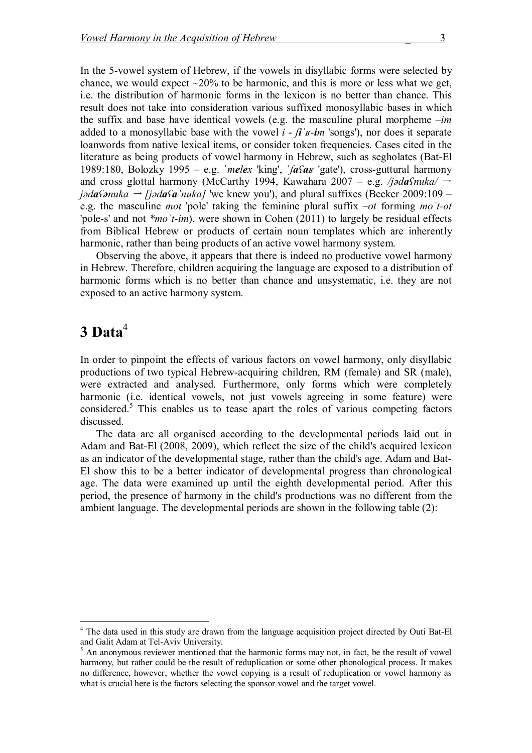In the 5-vowel system of Hebrew, if the vowels in disyllabic forms were selected by chance, we would expect  $\sim$ 20% to be harmonic, and this is more or less what we get, i.e. the distribution of harmonic forms in the lexicon is no better than chance. This result does not take into consideration various suffixed monosyllabic bases in which the suffix and base have identical vowels (e.g. the masculine plural morpheme *–im* added to a monosyllabic base with the vowel  $i - \hat{i}$   $\hat{j}$   $\hat{k}$ -*im* 'songs'), nor does it separate loanwords from native lexical items, or consider token frequencies. Cases cited in the literature as being products of vowel harmony in Hebrew, such as segholates (Bat-El 1989:180, Bolozky 1995 – e.g. ˈ*melex* 'king', ˈ*ʃaʕaʁ* 'gate'), cross-guttural harmony and cross glottal harmony (McCarthy 1994, Kawahara 2007 – e.g. */jədaʕnuka/ j* $\partial \mathbf{a}$ *f* $\partial \mathbf{a}$ *ia* $\partial \mathbf{a}$ <sup> $\partial \mathbf{a}$ <sup> $\partial \mathbf{a}$ <sup> $\partial \mathbf{a}$ </sup> is knew you'), and plural suffixes (Becker 2009:109 –</sup></sup> e.g. the masculine *mot* 'pole' taking the feminine plural suffix *–ot* forming *moˈt-ot* 'pole-s' and not *\*moˈt-im*), were shown in Cohen (2011) to largely be residual effects from Biblical Hebrew or products of certain noun templates which are inherently harmonic, rather than being products of an active vowel harmony system.

Observing the above, it appears that there is indeed no productive vowel harmony in Hebrew. Therefore, children acquiring the language are exposed to a distribution of harmonic forms which is no better than chance and unsystematic, i.e. they are not exposed to an active harmony system.

## **3 Data**<sup>4</sup>

 $\overline{a}$ 

In order to pinpoint the effects of various factors on vowel harmony, only disyllabic productions of two typical Hebrew-acquiring children, RM (female) and SR (male), were extracted and analysed. Furthermore, only forms which were completely harmonic (i.e. identical vowels, not just vowels agreeing in some feature) were considered.<sup>5</sup> This enables us to tease apart the roles of various competing factors discussed.

The data are all organised according to the developmental periods laid out in Adam and Bat-El (2008, 2009), which reflect the size of the child's acquired lexicon as an indicator of the developmental stage, rather than the child's age. Adam and Bat-El show this to be a better indicator of developmental progress than chronological age. The data were examined up until the eighth developmental period. After this period, the presence of harmony in the child's productions was no different from the ambient language. The developmental periods are shown in the following table (2):

<sup>&</sup>lt;sup>4</sup> The data used in this study are drawn from the language acquisition project directed by Outi Bat-El and Galit Adam at Tel-Aviv University.

 $<sup>5</sup>$  An anonymous reviewer mentioned that the harmonic forms may not, in fact, be the result of vowel</sup> harmony, but rather could be the result of reduplication or some other phonological process. It makes no difference, however, whether the vowel copying is a result of reduplication or vowel harmony as what is crucial here is the factors selecting the sponsor vowel and the target vowel.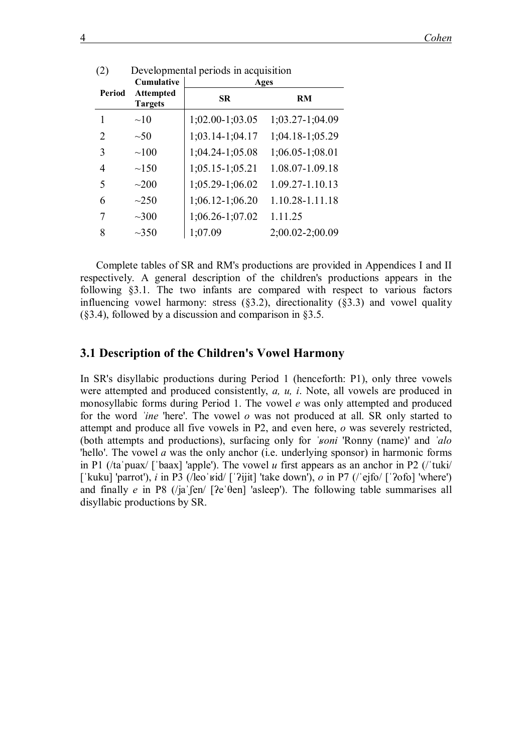|        | Cumulative                         | Ages              |                 |  |  |  |  |  |
|--------|------------------------------------|-------------------|-----------------|--|--|--|--|--|
| Period | <b>Attempted</b><br><b>Targets</b> | SR.               | RM              |  |  |  |  |  |
|        | ~10                                | $1;02.00-1;03.05$ | 1;03.27-1;04.09 |  |  |  |  |  |
| 2      | $\sim 50$                          | 1;03.14-1;04.17   | 1;04.18-1;05.29 |  |  |  |  |  |
| 3      | $\sim 100$                         | 1;04.24-1;05.08   | 1;06.05-1;08.01 |  |  |  |  |  |
| 4      | $\sim$ 150                         | 1;05.15-1;05.21   | 1.08.07-1.09.18 |  |  |  |  |  |
| 5      | $\sim 200$                         | 1;05.29-1;06.02   | 1.09.27-1.10.13 |  |  |  |  |  |
| 6      | $\sim$ 250                         | 1;06.12-1;06.20   | 1.10.28-1.11.18 |  |  |  |  |  |
| 7      | $\sim$ 300                         | 1;06.26-1;07.02   | 1.11.25         |  |  |  |  |  |
| 8      | $\sim$ 350                         | 1;07.09           | 2;00.02-2;00.09 |  |  |  |  |  |

| (2) | Developmental periods in acquisition |  |  |
|-----|--------------------------------------|--|--|
|-----|--------------------------------------|--|--|

Complete tables of SR and RM's productions are provided in Appendices I and II respectively. A general description of the children's productions appears in the following §3.1. The two infants are compared with respect to various factors influencing vowel harmony: stress  $(\S3.2)$ , directionality  $(\S3.3)$  and vowel quality (§3.4), followed by a discussion and comparison in §3.5.

#### **3.1 Description of the Children's Vowel Harmony**

In SR's disyllabic productions during Period 1 (henceforth: P1), only three vowels were attempted and produced consistently, *a, u, i*. Note, all vowels are produced in monosyllabic forms during Period 1. The vowel *e* was only attempted and produced for the word *ˈine* 'here'. The vowel *o* was not produced at all. SR only started to attempt and produce all five vowels in P2, and even here, *o* was severely restricted, (both attempts and productions), surfacing only for *ˈʁoni* 'Ronny (name)' and *ˈalo*  'hello'. The vowel *a* was the only anchor (i.e. underlying sponsor) in harmonic forms in P1 (/taˈpuax/ [ˈbaax] 'apple'). The vowel *u* first appears as an anchor in P2 (/ˈtuki/ [ˈkuku] 'parrot'), *i* in P3 (/leoˈʁid/ [ˈʔijit] 'take down'), *o* in P7 (/ˈejfo/ [ˈʔofo] 'where') and finally *e* in P8 (/jaˈʃen/ [ʔeˈθen] 'asleep'). The following table summarises all disyllabic productions by SR.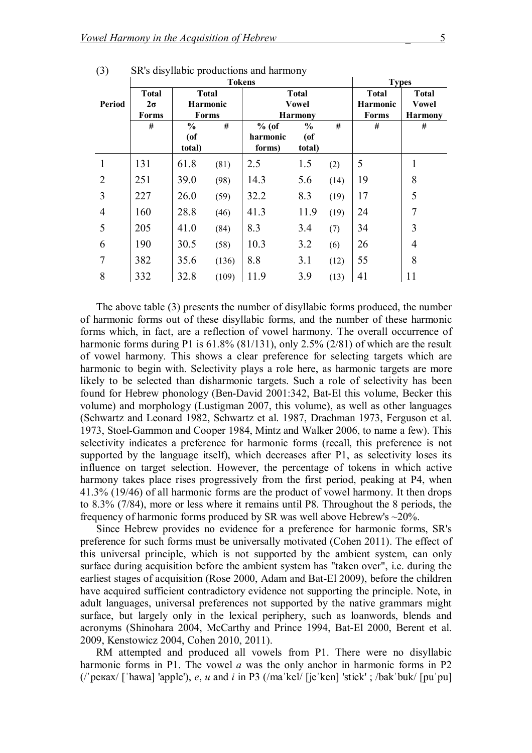|                |              |                 | <b>Types</b> |          |                |      |                 |                |
|----------------|--------------|-----------------|--------------|----------|----------------|------|-----------------|----------------|
|                | <b>Total</b> | <b>Total</b>    |              |          | <b>Total</b>   |      | <b>Total</b>    | <b>Total</b>   |
| Period         | $2\sigma$    | <b>Harmonic</b> |              |          | <b>Vowel</b>   |      | <b>Harmonic</b> | <b>Vowel</b>   |
|                | Forms        | <b>Forms</b>    |              |          | <b>Harmony</b> |      | <b>Forms</b>    | <b>Harmony</b> |
|                | #            | $\frac{0}{0}$   | #            | $%$ (of  | $\frac{0}{0}$  | #    | #               | #              |
|                |              | $($ of          |              | harmonic | $($ of         |      |                 |                |
|                |              | total)          |              | forms)   | total)         |      |                 |                |
|                | 131          | 61.8            | (81)         | 2.5      | 1.5            | (2)  | 5               | 1              |
| $\overline{2}$ | 251          | 39.0            | (98)         | 14.3     | 5.6            | (14) | 19              | 8              |
| 3              | 227          | 26.0            | (59)         | 32.2     | 8.3            | (19) | 17              | 5              |
| $\overline{4}$ | 160          | 28.8            | (46)         | 41.3     | 11.9           | (19) | 24              | $\overline{7}$ |
| 5              | 205          | 41.0            | (84)         | 8.3      | 3.4            | (7)  | 34              | 3              |
| 6              | 190          | 30.5            | (58)         | 10.3     | 3.2            | (6)  | 26              | $\overline{4}$ |
| 7              | 382          | 35.6            | (136)        | 8.8      | 3.1            | (12) | 55              | 8              |
| 8              | 332          | 32.8            | (109)        | 11.9     | 3.9            | (13) | 41              | 11             |

(3) SR's disyllabic productions and harmony

The above table (3) presents the number of disyllabic forms produced, the number of harmonic forms out of these disyllabic forms, and the number of these harmonic forms which, in fact, are a reflection of vowel harmony. The overall occurrence of harmonic forms during P1 is 61.8% (81/131), only 2.5% (2/81) of which are the result of vowel harmony. This shows a clear preference for selecting targets which are harmonic to begin with. Selectivity plays a role here, as harmonic targets are more likely to be selected than disharmonic targets. Such a role of selectivity has been found for Hebrew phonology (Ben-David 2001:342, Bat-El this volume, Becker this volume) and morphology (Lustigman 2007, this volume), as well as other languages (Schwartz and Leonard 1982, Schwartz et al. 1987, Drachman 1973, Ferguson et al. 1973, Stoel-Gammon and Cooper 1984, Mintz and Walker 2006, to name a few). This selectivity indicates a preference for harmonic forms (recall, this preference is not supported by the language itself), which decreases after P1, as selectivity loses its influence on target selection. However, the percentage of tokens in which active harmony takes place rises progressively from the first period, peaking at P4, when 41.3% (19/46) of all harmonic forms are the product of vowel harmony. It then drops to 8.3% (7/84), more or less where it remains until P8. Throughout the 8 periods, the frequency of harmonic forms produced by SR was well above Hebrew's ~20%.

Since Hebrew provides no evidence for a preference for harmonic forms, SR's preference for such forms must be universally motivated (Cohen 2011). The effect of this universal principle, which is not supported by the ambient system, can only surface during acquisition before the ambient system has "taken over", i.e. during the earliest stages of acquisition (Rose 2000, Adam and Bat-El 2009), before the children have acquired sufficient contradictory evidence not supporting the principle. Note, in adult languages, universal preferences not supported by the native grammars might surface, but largely only in the lexical periphery, such as loanwords, blends and acronyms (Shinohara 2004, McCarthy and Prince 1994, Bat-El 2000, Berent et al. 2009, Kenstowicz 2004, Cohen 2010, 2011).

RM attempted and produced all vowels from P1. There were no disyllabic harmonic forms in P1. The vowel *a* was the only anchor in harmonic forms in P2 (/ˈpeʁax/ [ˈhawa] 'apple'), *e*, *u* and *i* in P3 (/maˈkel/ [jeˈken] 'stick' ; /bakˈbuk/ [puˈpu]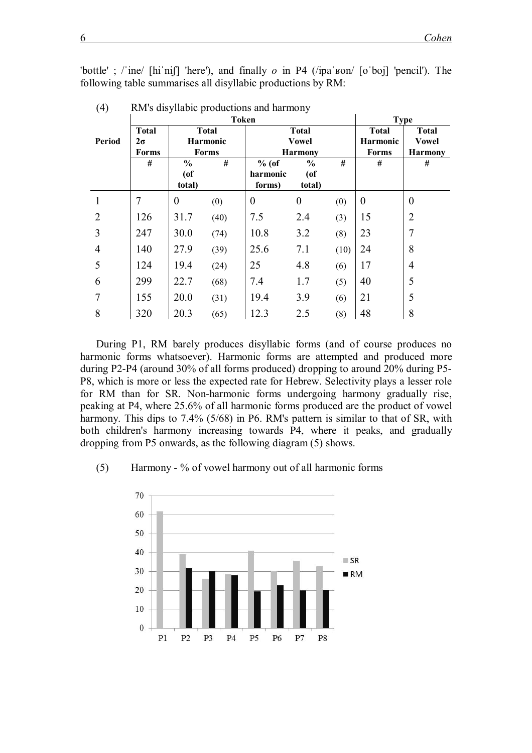'bottle' ; /ˈine/ [hiˈniʃ] 'here'), and finally *o* in P4 (/ipaˈʁon/ [oˈboj] 'pencil'). The following table summarises all disyllabic productions by RM:

|                |              |                | <b>Token</b>    | <b>Type</b> |                  |      |                  |                |
|----------------|--------------|----------------|-----------------|-------------|------------------|------|------------------|----------------|
|                | <b>Total</b> |                | <b>Total</b>    |             | <b>Total</b>     |      | <b>Total</b>     | <b>Total</b>   |
| Period         | $2\sigma$    |                | <b>Harmonic</b> |             | <b>Vowel</b>     |      | <b>Harmonic</b>  | <b>Vowel</b>   |
|                | <b>Forms</b> |                | <b>Forms</b>    |             | <b>Harmony</b>   |      | <b>Forms</b>     | <b>Harmony</b> |
|                | #            | $\frac{0}{0}$  | #               | $%$ (of     | $\frac{0}{0}$    | #    | #                | #              |
|                |              | $($ of         |                 | harmonic    | $($ of           |      |                  |                |
|                |              | total)         |                 | forms)      | total)           |      |                  |                |
| 1              | 7            | $\overline{0}$ | (0)             | $\theta$    | $\boldsymbol{0}$ | (0)  | $\boldsymbol{0}$ | $\overline{0}$ |
| $\overline{2}$ | 126          | 31.7           | (40)            | 7.5         | 2.4              | (3)  | 15               | $\overline{2}$ |
| 3              | 247          | 30.0           | (74)            | 10.8        | 3.2              | (8)  | 23               | $\overline{7}$ |
| $\overline{4}$ | 140          | 27.9           | (39)            | 25.6        | 7.1              | (10) | 24               | 8              |
| 5              | 124          | 19.4           | (24)            | 25          | 4.8              | (6)  | 17               | $\overline{4}$ |
| 6              | 299          | 22.7           | (68)            | 7.4         | 1.7              | (5)  | 40               | 5              |
| 7              | 155          | 20.0           | (31)            | 19.4        | 3.9              | (6)  | 21               | 5              |
| 8              | 320          | 20.3           | (65)            | 12.3        | 2.5              | (8)  | 48               | 8              |

(4) RM's disyllabic productions and harmony

During P1, RM barely produces disyllabic forms (and of course produces no harmonic forms whatsoever). Harmonic forms are attempted and produced more during P2-P4 (around 30% of all forms produced) dropping to around 20% during P5- P8, which is more or less the expected rate for Hebrew. Selectivity plays a lesser role for RM than for SR. Non-harmonic forms undergoing harmony gradually rise, peaking at P4, where 25.6% of all harmonic forms produced are the product of vowel harmony. This dips to 7.4% (5/68) in P6. RM's pattern is similar to that of SR, with both children's harmony increasing towards P4, where it peaks, and gradually dropping from P5 onwards, as the following diagram (5) shows.

#### (5) Harmony - % of vowel harmony out of all harmonic forms

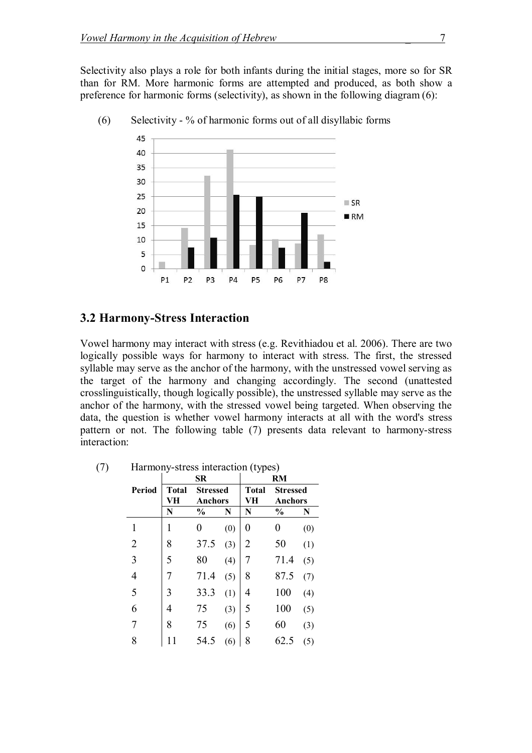Selectivity also plays a role for both infants during the initial stages, more so for SR than for RM. More harmonic forms are attempted and produced, as both show a preference for harmonic forms (selectivity), as shown in the following diagram (6):



(6) Selectivity - % of harmonic forms out of all disyllabic forms

### **3.2 Harmony-Stress Interaction**

Vowel harmony may interact with stress (e.g. Revithiadou et al. 2006). There are two logically possible ways for harmony to interact with stress. The first, the stressed syllable may serve as the anchor of the harmony, with the unstressed vowel serving as the target of the harmony and changing accordingly. The second (unattested crosslinguistically, though logically possible), the unstressed syllable may serve as the anchor of the harmony, with the stressed vowel being targeted. When observing the data, the question is whether vowel harmony interacts at all with the word's stress pattern or not. The following table (7) presents data relevant to harmony-stress interaction:

|                | SR                 |                 |     | ヾノエ              | RM            |                    |                                   |  |
|----------------|--------------------|-----------------|-----|------------------|---------------|--------------------|-----------------------------------|--|
| Period         | <b>Total</b><br>VH | <b>Stressed</b> |     | <b>Anchors</b>   |               | <b>Total</b><br>VH | <b>Stressed</b><br><b>Anchors</b> |  |
|                | N                  | $\frac{0}{0}$   | N   | N                | $\frac{0}{0}$ | N                  |                                   |  |
| 1              | 1                  | 0               | (0) | $\boldsymbol{0}$ | 0             | (0)                |                                   |  |
| $\overline{2}$ | 8                  | 37.5            | (3) | $\overline{2}$   | 50            | (1)                |                                   |  |
| 3              | 5                  | 80              | (4) | $\overline{7}$   | 71.4          | (5)                |                                   |  |
| $\overline{4}$ | 7                  | 71.4            | (5) | 8                | 87.5          | (7)                |                                   |  |
| 5              | 3                  | 33.3            | (1) | 4                | 100           | (4)                |                                   |  |
| 6              | 4                  | 75              | (3) | 5                | 100           | (5)                |                                   |  |
| 7              | 8                  | 75              | (6) | 5                | 60            | (3)                |                                   |  |
| 8              |                    | 54.5            | (6) | 8                | 62.5          | (5)                |                                   |  |

(7) Harmony-stress interaction (types)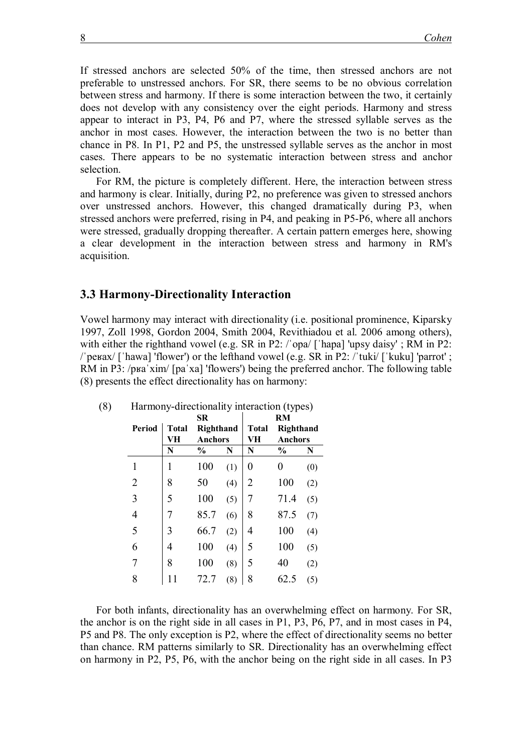If stressed anchors are selected 50% of the time, then stressed anchors are not preferable to unstressed anchors. For SR, there seems to be no obvious correlation between stress and harmony. If there is some interaction between the two, it certainly does not develop with any consistency over the eight periods. Harmony and stress appear to interact in P3, P4, P6 and P7, where the stressed syllable serves as the anchor in most cases. However, the interaction between the two is no better than chance in P8. In P1, P2 and P5, the unstressed syllable serves as the anchor in most cases. There appears to be no systematic interaction between stress and anchor selection.

For RM, the picture is completely different. Here, the interaction between stress and harmony is clear. Initially, during P2, no preference was given to stressed anchors over unstressed anchors. However, this changed dramatically during P3, when stressed anchors were preferred, rising in P4, and peaking in P5-P6, where all anchors were stressed, gradually dropping thereafter. A certain pattern emerges here, showing a clear development in the interaction between stress and harmony in RM's acquisition.

#### **3.3 Harmony-Directionality Interaction**

Vowel harmony may interact with directionality (i.e. positional prominence, Kiparsky 1997, Zoll 1998, Gordon 2004, Smith 2004, Revithiadou et al. 2006 among others), with either the righthand vowel (e.g. SR in P2: /'opa/ ['hapa] 'upsy daisy'; RM in P2: /ˈpeʁax/ [ˈhawa] 'flower') or the lefthand vowel (e.g. SR in P2: /ˈtuki/ [ˈkuku] 'parrot' ; RM in P3: /pʁaˈxim/ [paˈxa] 'flowers') being the preferred anchor. The following table (8) presents the effect directionality has on harmony:

|                |              | <b>SR</b>     |           | RM |               |     |  |  |
|----------------|--------------|---------------|-----------|----|---------------|-----|--|--|
| Period         | <b>Total</b> |               | Righthand |    | Righthand     |     |  |  |
|                | VН           | Anchors       |           | VH | Anchors       |     |  |  |
|                | N            | $\frac{0}{0}$ | N         | N  | $\frac{0}{0}$ | N   |  |  |
| 1              | 1            | 100           | (1)       | 0  | 0             | (0) |  |  |
| $\overline{2}$ | 8            | 50            | (4)       | 2  | 100           | (2) |  |  |
| 3              | 5            | 100           | (5)       | 7  | 71.4          | (5) |  |  |
| 4              | 7            | 85.7          | (6)       | 8  | 87.5          | (7) |  |  |
| 5              | 3            | 66.7          | (2)       | 4  | 100           | (4) |  |  |
| 6              | 4            | 100           | (4)       | 5  | 100           | (5) |  |  |
| 7              | 8            | 100           | (8)       | 5  | 40            | (2) |  |  |
| 8              | 11           | 72.7          | (8)       | 8  | 62.5          | (5) |  |  |

| (8) | Harmony-directionality interaction (types) |  |  |
|-----|--------------------------------------------|--|--|
|     |                                            |  |  |

For both infants, directionality has an overwhelming effect on harmony. For SR, the anchor is on the right side in all cases in P1, P3, P6, P7, and in most cases in P4, P5 and P8. The only exception is P2, where the effect of directionality seems no better than chance. RM patterns similarly to SR. Directionality has an overwhelming effect on harmony in P2, P5, P6, with the anchor being on the right side in all cases. In P3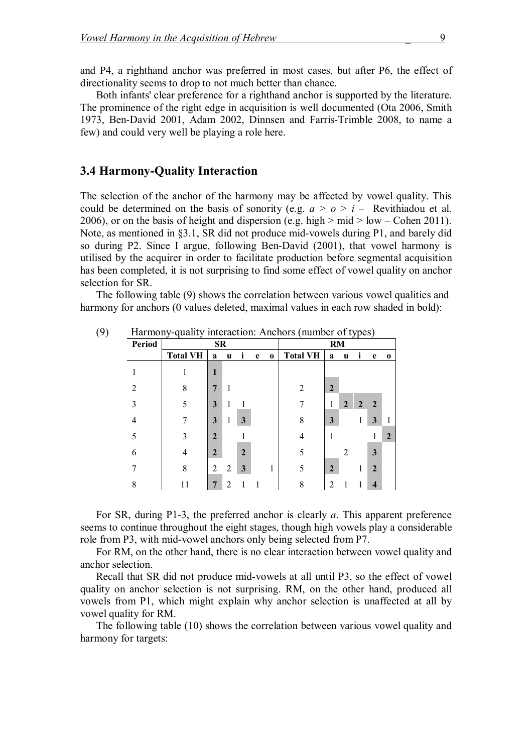and P4, a righthand anchor was preferred in most cases, but after P6, the effect of directionality seems to drop to not much better than chance.

Both infants' clear preference for a righthand anchor is supported by the literature. The prominence of the right edge in acquisition is well documented (Ota 2006, Smith 1973, Ben-David 2001, Adam 2002, Dinnsen and Farris-Trimble 2008, to name a few) and could very well be playing a role here.

### **3.4 Harmony-Quality Interaction**

The selection of the anchor of the harmony may be affected by vowel quality. This could be determined on the basis of sonority (e.g.  $a > 0 > i$  – Revithiadou et al. 2006), or on the basis of height and dispersion (e.g. high  $>$  mid  $>$  low – Cohen 2011). Note, as mentioned in §3.1, SR did not produce mid-vowels during P1, and barely did so during P2. Since I argue, following Ben-David (2001), that vowel harmony is utilised by the acquirer in order to facilitate production before segmental acquisition has been completed, it is not surprising to find some effect of vowel quality on anchor selection for SR.

The following table (9) shows the correlation between various vowel qualities and harmony for anchors (0 values deleted, maximal values in each row shaded in bold):

| Trainforty-quality interaction. Anchors (humocr of types) |                 |                |   |                |   |           |                 |                |   |   |              |          |
|-----------------------------------------------------------|-----------------|----------------|---|----------------|---|-----------|-----------------|----------------|---|---|--------------|----------|
| <b>Period</b>                                             |                 | <b>SR</b>      |   |                |   | <b>RM</b> |                 |                |   |   |              |          |
|                                                           | <b>Total VH</b> | a              | u | i              | e | $\bf{0}$  | <b>Total VH</b> | a              | u | ı | e            | $\bf{0}$ |
|                                                           |                 | 1              |   |                |   |           |                 |                |   |   |              |          |
| 2                                                         | 8               | 7              |   |                |   |           | 2               | $\overline{2}$ |   |   |              |          |
| 3                                                         | 5               | 3              |   |                |   |           | 7               | 1              | 2 | 2 | $\mathbf{2}$ |          |
| 4                                                         |                 | 3              |   | 3              |   |           | 8               | 3              |   |   | 3            |          |
| 5                                                         | 3               | $\overline{2}$ |   |                |   |           | 4               |                |   |   |              | 2        |
| 6                                                         | 4               | $\mathbf{2}$   |   | $\overline{2}$ |   |           | 5               |                | 2 |   | 3            |          |
|                                                           | 8               | 2              | 2 | 3              |   |           | 5               | $\overline{2}$ |   |   | $\mathbf{2}$ |          |
| 8                                                         | 11              | 7              | າ |                |   |           | 8               | 2              |   |   |              |          |

(9) Harmony-quality interaction: Anchors (number of types)

For SR, during P1-3, the preferred anchor is clearly *a*. This apparent preference seems to continue throughout the eight stages, though high vowels play a considerable role from P3, with mid-vowel anchors only being selected from P7.

For RM, on the other hand, there is no clear interaction between vowel quality and anchor selection.

Recall that SR did not produce mid-vowels at all until P3, so the effect of vowel quality on anchor selection is not surprising. RM, on the other hand, produced all vowels from P1, which might explain why anchor selection is unaffected at all by vowel quality for RM.

The following table (10) shows the correlation between various vowel quality and harmony for targets: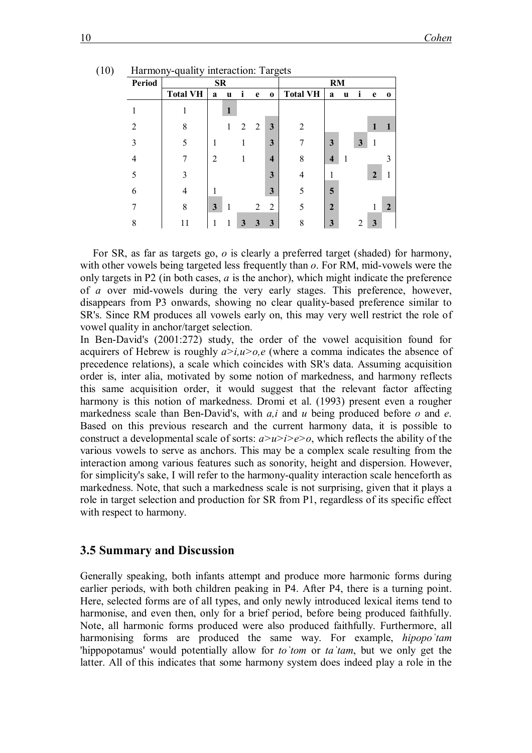| Period         |                 | SR<br>RM |   |   |                |                         |                 |                |   |   |                |                |
|----------------|-----------------|----------|---|---|----------------|-------------------------|-----------------|----------------|---|---|----------------|----------------|
|                | <b>Total VH</b> | a        | u |   | e              | $\bf{0}$                | <b>Total VH</b> | a              | u |   | e              | $\bf{0}$       |
|                | ı               |          | 1 |   |                |                         |                 |                |   |   |                |                |
| $\overline{2}$ | 8               |          | 1 | 2 | 2              | $\mathbf{3}$            | $\overline{2}$  |                |   |   |                |                |
| 3              | 5               | 1        |   |   |                | 3                       | 7               | 3              |   | 3 |                |                |
| $\overline{4}$ | 7               | 2        |   |   |                | $\overline{\mathbf{4}}$ | 8               | $\overline{4}$ |   |   |                | 3              |
| 5              | 3               |          |   |   |                | $\overline{\mathbf{3}}$ | $\overline{4}$  |                |   |   | $\overline{2}$ |                |
| 6              | 4               |          |   |   |                | 3                       | 5               | 5              |   |   |                |                |
| 7              | 8               | 3        | 1 |   | $\overline{2}$ | $\overline{2}$          | 5               | $\overline{2}$ |   |   |                | $\overline{2}$ |
| 8              | 11              | 1        | 1 | 3 | 3              | 3                       | 8               | 3              |   | 2 | 3              |                |

(10) Harmony-quality interaction: Targets

For SR, as far as targets go, *o* is clearly a preferred target (shaded) for harmony, with other vowels being targeted less frequently than *o*. For RM, mid-vowels were the only targets in P2 (in both cases, *a* is the anchor), which might indicate the preference of *a* over mid-vowels during the very early stages. This preference, however, disappears from P3 onwards, showing no clear quality-based preference similar to SR's. Since RM produces all vowels early on, this may very well restrict the role of vowel quality in anchor/target selection.

In Ben-David's (2001:272) study, the order of the vowel acquisition found for acquirers of Hebrew is roughly  $a > i, u > o, e$  (where a comma indicates the absence of precedence relations), a scale which coincides with SR's data. Assuming acquisition order is, inter alia, motivated by some notion of markedness, and harmony reflects this same acquisition order, it would suggest that the relevant factor affecting harmony is this notion of markedness. Dromi et al. (1993) present even a rougher markedness scale than Ben-David's, with *a,i* and *u* being produced before *o* and *e*. Based on this previous research and the current harmony data, it is possible to construct a developmental scale of sorts: *a>u>i>e>o*, which reflects the ability of the various vowels to serve as anchors. This may be a complex scale resulting from the interaction among various features such as sonority, height and dispersion. However, for simplicity's sake, I will refer to the harmony-quality interaction scale henceforth as markedness. Note, that such a markedness scale is not surprising, given that it plays a role in target selection and production for SR from P1, regardless of its specific effect with respect to harmony.

#### **3.5 Summary and Discussion**

Generally speaking, both infants attempt and produce more harmonic forms during earlier periods, with both children peaking in P4. After P4, there is a turning point. Here, selected forms are of all types, and only newly introduced lexical items tend to harmonise, and even then, only for a brief period, before being produced faithfully. Note, all harmonic forms produced were also produced faithfully. Furthermore, all harmonising forms are produced the same way. For example, *hipopoˈtam*  'hippopotamus' would potentially allow for *toˈtom* or *taˈtam*, but we only get the latter. All of this indicates that some harmony system does indeed play a role in the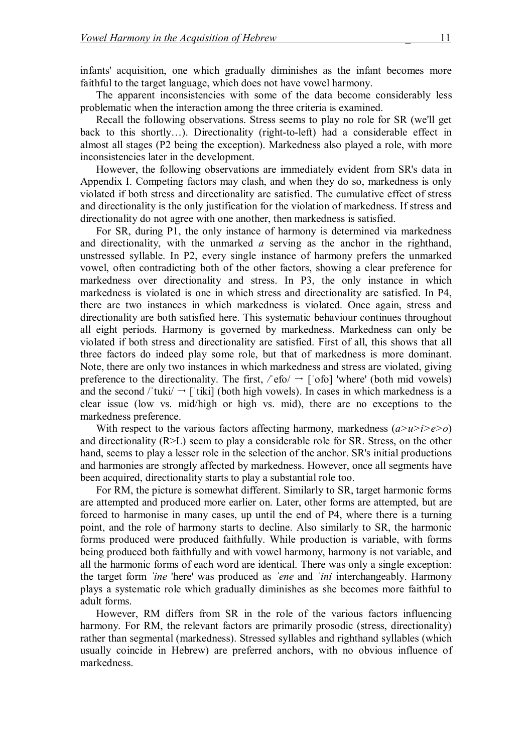infants' acquisition, one which gradually diminishes as the infant becomes more faithful to the target language, which does not have vowel harmony.

The apparent inconsistencies with some of the data become considerably less problematic when the interaction among the three criteria is examined.

Recall the following observations. Stress seems to play no role for SR (we'll get back to this shortly…). Directionality (right-to-left) had a considerable effect in almost all stages (P2 being the exception). Markedness also played a role, with more inconsistencies later in the development.

However, the following observations are immediately evident from SR's data in Appendix I. Competing factors may clash, and when they do so, markedness is only violated if both stress and directionality are satisfied. The cumulative effect of stress and directionality is the only justification for the violation of markedness. If stress and directionality do not agree with one another, then markedness is satisfied.

For SR, during P1, the only instance of harmony is determined via markedness and directionality, with the unmarked *a* serving as the anchor in the righthand, unstressed syllable. In P2, every single instance of harmony prefers the unmarked vowel, often contradicting both of the other factors, showing a clear preference for markedness over directionality and stress. In P3, the only instance in which markedness is violated is one in which stress and directionality are satisfied. In P4, there are two instances in which markedness is violated. Once again, stress and directionality are both satisfied here. This systematic behaviour continues throughout all eight periods. Harmony is governed by markedness. Markedness can only be violated if both stress and directionality are satisfied. First of all, this shows that all three factors do indeed play some role, but that of markedness is more dominant. Note, there are only two instances in which markedness and stress are violated, giving preference to the directionality. The first,  $/$ efo $/$   $\rightarrow$  ['ofo] 'where' (both mid vowels) and the second / 'tuki/  $\rightarrow$  ['tiki] (both high vowels). In cases in which markedness is a clear issue (low vs. mid/high or high vs. mid), there are no exceptions to the markedness preference.

With respect to the various factors affecting harmony, markedness (*a>u>i>e>o*) and directionality  $(R>L)$  seem to play a considerable role for SR. Stress, on the other hand, seems to play a lesser role in the selection of the anchor. SR's initial productions and harmonies are strongly affected by markedness. However, once all segments have been acquired, directionality starts to play a substantial role too.

For RM, the picture is somewhat different. Similarly to SR, target harmonic forms are attempted and produced more earlier on. Later, other forms are attempted, but are forced to harmonise in many cases, up until the end of P4, where there is a turning point, and the role of harmony starts to decline. Also similarly to SR, the harmonic forms produced were produced faithfully. While production is variable, with forms being produced both faithfully and with vowel harmony, harmony is not variable, and all the harmonic forms of each word are identical. There was only a single exception: the target form *ˈine* 'here' was produced as *ˈene* and *ˈini* interchangeably. Harmony plays a systematic role which gradually diminishes as she becomes more faithful to adult forms.

However, RM differs from SR in the role of the various factors influencing harmony. For RM, the relevant factors are primarily prosodic (stress, directionality) rather than segmental (markedness). Stressed syllables and righthand syllables (which usually coincide in Hebrew) are preferred anchors, with no obvious influence of markedness.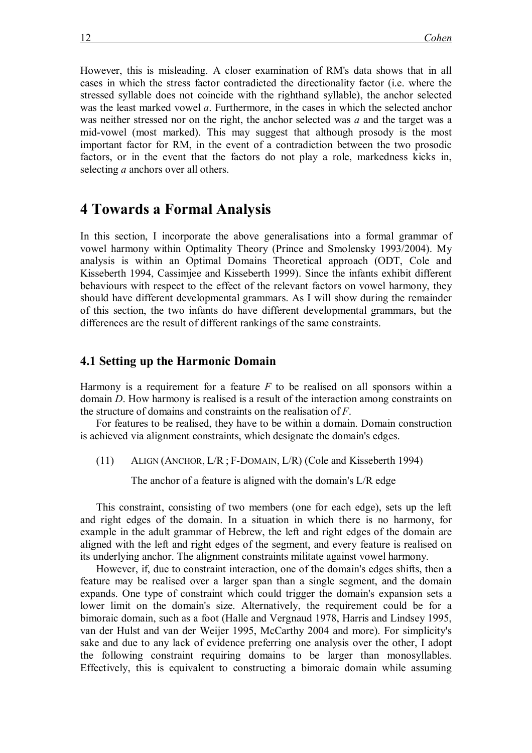However, this is misleading. A closer examination of RM's data shows that in all cases in which the stress factor contradicted the directionality factor (i.e. where the stressed syllable does not coincide with the righthand syllable), the anchor selected was the least marked vowel *a*. Furthermore, in the cases in which the selected anchor was neither stressed nor on the right, the anchor selected was *a* and the target was a mid-vowel (most marked). This may suggest that although prosody is the most important factor for RM, in the event of a contradiction between the two prosodic factors, or in the event that the factors do not play a role, markedness kicks in, selecting *a* anchors over all others.

### **4 Towards a Formal Analysis**

In this section, I incorporate the above generalisations into a formal grammar of vowel harmony within Optimality Theory (Prince and Smolensky 1993/2004). My analysis is within an Optimal Domains Theoretical approach (ODT, Cole and Kisseberth 1994, Cassimjee and Kisseberth 1999). Since the infants exhibit different behaviours with respect to the effect of the relevant factors on vowel harmony, they should have different developmental grammars. As I will show during the remainder of this section, the two infants do have different developmental grammars, but the differences are the result of different rankings of the same constraints.

#### **4.1 Setting up the Harmonic Domain**

Harmony is a requirement for a feature *F* to be realised on all sponsors within a domain *D*. How harmony is realised is a result of the interaction among constraints on the structure of domains and constraints on the realisation of *F*.

For features to be realised, they have to be within a domain. Domain construction is achieved via alignment constraints, which designate the domain's edges.

(11) ALIGN (ANCHOR, L/R ; F-DOMAIN, L/R) (Cole and Kisseberth 1994)

The anchor of a feature is aligned with the domain's L/R edge

This constraint, consisting of two members (one for each edge), sets up the left and right edges of the domain. In a situation in which there is no harmony, for example in the adult grammar of Hebrew, the left and right edges of the domain are aligned with the left and right edges of the segment, and every feature is realised on its underlying anchor. The alignment constraints militate against vowel harmony.

However, if, due to constraint interaction, one of the domain's edges shifts, then a feature may be realised over a larger span than a single segment, and the domain expands. One type of constraint which could trigger the domain's expansion sets a lower limit on the domain's size. Alternatively, the requirement could be for a bimoraic domain, such as a foot (Halle and Vergnaud 1978, Harris and Lindsey 1995, van der Hulst and van der Weijer 1995, McCarthy 2004 and more). For simplicity's sake and due to any lack of evidence preferring one analysis over the other, I adopt the following constraint requiring domains to be larger than monosyllables. Effectively, this is equivalent to constructing a bimoraic domain while assuming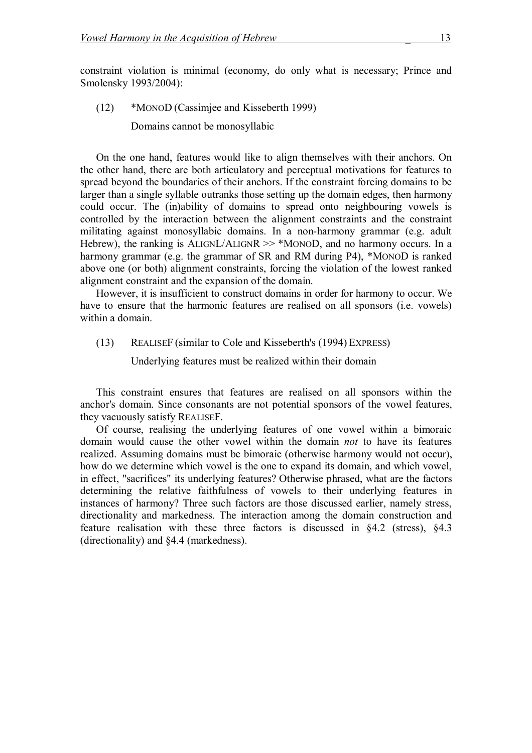constraint violation is minimal (economy, do only what is necessary; Prince and Smolensky 1993/2004):

(12) \*MONOD (Cassimjee and Kisseberth 1999)

Domains cannot be monosyllabic

On the one hand, features would like to align themselves with their anchors. On the other hand, there are both articulatory and perceptual motivations for features to spread beyond the boundaries of their anchors. If the constraint forcing domains to be larger than a single syllable outranks those setting up the domain edges, then harmony could occur. The (in)ability of domains to spread onto neighbouring vowels is controlled by the interaction between the alignment constraints and the constraint militating against monosyllabic domains. In a non-harmony grammar (e.g. adult Hebrew), the ranking is ALIGNL/ALIGNR  $\gg$  \*MONOD, and no harmony occurs. In a harmony grammar (e.g. the grammar of SR and RM during P4), \*MONOD is ranked above one (or both) alignment constraints, forcing the violation of the lowest ranked alignment constraint and the expansion of the domain.

However, it is insufficient to construct domains in order for harmony to occur. We have to ensure that the harmonic features are realised on all sponsors (i.e. vowels) within a domain.

(13) REALISEF (similar to Cole and Kisseberth's (1994) EXPRESS)

Underlying features must be realized within their domain

This constraint ensures that features are realised on all sponsors within the anchor's domain. Since consonants are not potential sponsors of the vowel features, they vacuously satisfy REALISEF.

Of course, realising the underlying features of one vowel within a bimoraic domain would cause the other vowel within the domain *not* to have its features realized. Assuming domains must be bimoraic (otherwise harmony would not occur), how do we determine which vowel is the one to expand its domain, and which vowel, in effect, "sacrifices" its underlying features? Otherwise phrased, what are the factors determining the relative faithfulness of vowels to their underlying features in instances of harmony? Three such factors are those discussed earlier, namely stress, directionality and markedness. The interaction among the domain construction and feature realisation with these three factors is discussed in §4.2 (stress), §4.3 (directionality) and §4.4 (markedness).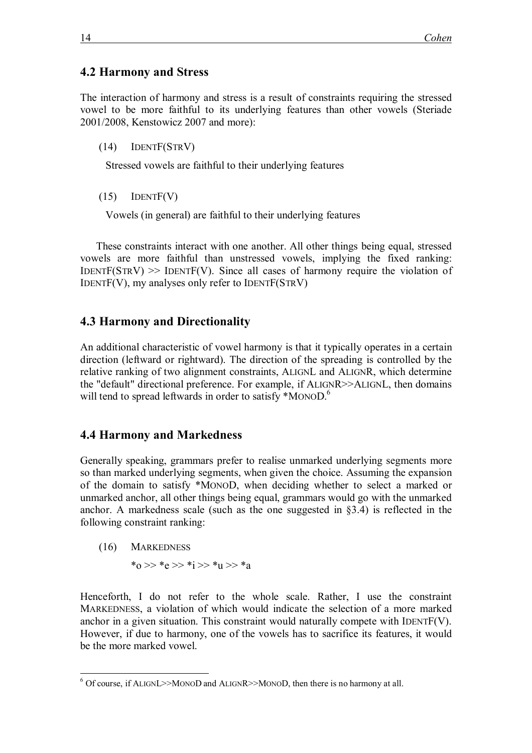### **4.2 Harmony and Stress**

The interaction of harmony and stress is a result of constraints requiring the stressed vowel to be more faithful to its underlying features than other vowels (Steriade 2001/2008, Kenstowicz 2007 and more):

(14) IDENTF(STRV)

Stressed vowels are faithful to their underlying features

(15) IDENTF(V)

Vowels (in general) are faithful to their underlying features

These constraints interact with one another. All other things being equal, stressed vowels are more faithful than unstressed vowels, implying the fixed ranking: IDENTF( $STRV$ )  $\gg$  IDENTF(V). Since all cases of harmony require the violation of IDENTF(V), my analyses only refer to IDENTF(STRV)

### **4.3 Harmony and Directionality**

An additional characteristic of vowel harmony is that it typically operates in a certain direction (leftward or rightward). The direction of the spreading is controlled by the relative ranking of two alignment constraints, ALIGNL and ALIGNR, which determine the "default" directional preference. For example, if ALIGNR>>ALIGNL, then domains will tend to spread leftwards in order to satisfy \*MONOD.<sup>6</sup>

### **4.4 Harmony and Markedness**

Generally speaking, grammars prefer to realise unmarked underlying segments more so than marked underlying segments, when given the choice. Assuming the expansion of the domain to satisfy \*MONOD, when deciding whether to select a marked or unmarked anchor, all other things being equal, grammars would go with the unmarked anchor. A markedness scale (such as the one suggested in §3.4) is reflected in the following constraint ranking:

(16) MARKEDNESS

 $*_0$  >>  $*_e$  >>  $*_1$  >>  $*_u$  >>  $*_a$ 

Henceforth, I do not refer to the whole scale. Rather, I use the constraint MARKEDNESS, a violation of which would indicate the selection of a more marked anchor in a given situation. This constraint would naturally compete with IDENT $F(V)$ . However, if due to harmony, one of the vowels has to sacrifice its features, it would be the more marked vowel.

 $\overline{a}$  $6$  Of course, if ALIGNL>>MONOD and ALIGNR>>MONOD, then there is no harmony at all.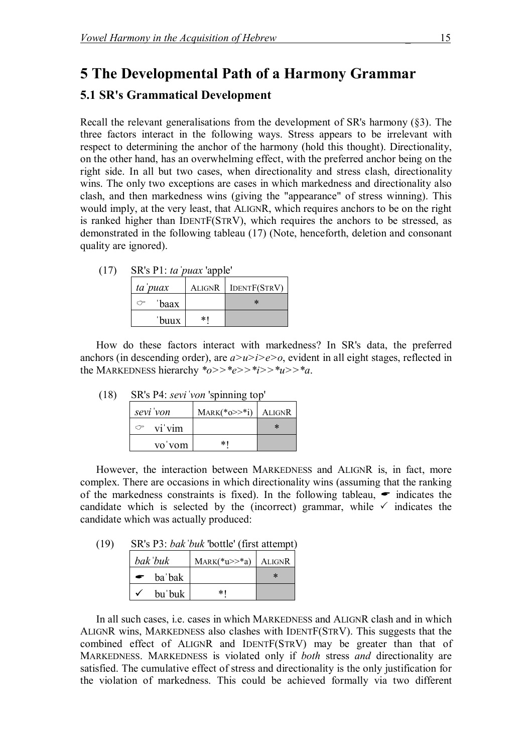## **5 The Developmental Path of a Harmony Grammar**

### **5.1 SR's Grammatical Development**

Recall the relevant generalisations from the development of SR's harmony  $(\S3)$ . The three factors interact in the following ways. Stress appears to be irrelevant with respect to determining the anchor of the harmony (hold this thought). Directionality, on the other hand, has an overwhelming effect, with the preferred anchor being on the right side. In all but two cases, when directionality and stress clash, directionality wins. The only two exceptions are cases in which markedness and directionality also clash, and then markedness wins (giving the "appearance" of stress winning). This would imply, at the very least, that ALIGNR, which requires anchors to be on the right is ranked higher than IDENTF(STRV), which requires the anchors to be stressed, as demonstrated in the following tableau (17) (Note, henceforth, deletion and consonant quality are ignored).

| (17) | SR's P1: ta puax 'apple' |     |                     |  |  |  |  |  |
|------|--------------------------|-----|---------------------|--|--|--|--|--|
|      | ta <i>puax</i>           |     | ALIGNR IDENTF(STRV) |  |  |  |  |  |
|      | 'baax                    |     | ∗                   |  |  |  |  |  |
|      | 'buux                    | * I |                     |  |  |  |  |  |

How do these factors interact with markedness? In SR's data, the preferred anchors (in descending order), are  $a > u > i > e > o$ , evident in all eight stages, reflected in the MARKEDNESS hierarchy  $a \rightarrow a \rightarrow a \rightarrow a$ .

| (18) | SR's P4: <i>sevi</i> von 'spinning top' |                         |        |  |  |  |  |
|------|-----------------------------------------|-------------------------|--------|--|--|--|--|
|      | sevi von                                | $MARK(*o>>*i)$   ALIGNR |        |  |  |  |  |
|      | $\circ$ vi'vim                          |                         | $\ast$ |  |  |  |  |
|      | vo'vom                                  | *1                      |        |  |  |  |  |

vo vom \*! However, the interaction between MARKEDNESS and ALIGNR is, in fact, more complex. There are occasions in which directionality wins (assuming that the ranking of the markedness constraints is fixed). In the following tableau,  $\bullet$  indicates the

candidate which is selected by the (incorrect) grammar, while  $\checkmark$  indicates the

| (19) |         | SR's P3: bak 'buk 'bottle' (first attempt) |  |
|------|---------|--------------------------------------------|--|
|      | hak'huk | $M_{ADV}(*_{U}>*\circ)$ ALIGNR             |  |

candidate which was actually produced:

|           | bak buk | $MARK(*u>>*a)$   ALIGNR |        |
|-----------|---------|-------------------------|--------|
| $\bullet$ | ba bak  |                         | $\ast$ |
|           | bu'buk  | * I                     |        |

In all such cases, i.e. cases in which MARKEDNESS and ALIGNR clash and in which ALIGNR wins, MARKEDNESS also clashes with IDENTF(STRV). This suggests that the combined effect of ALIGNR and IDENTF(STRV) may be greater than that of MARKEDNESS. MARKEDNESS is violated only if *both* stress *and* directionality are satisfied. The cumulative effect of stress and directionality is the only justification for the violation of markedness. This could be achieved formally via two different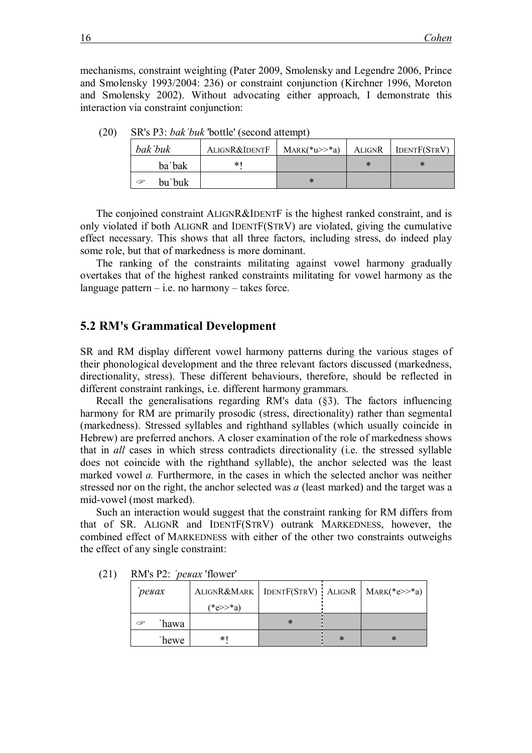mechanisms, constraint weighting (Pater 2009, Smolensky and Legendre 2006, Prince and Smolensky 1993/2004: 236) or constraint conjunction (Kirchner 1996, Moreton and Smolensky 2002). Without advocating either approach, I demonstrate this interaction via constraint conjunction:

| bak buk     | ALIGNR&IDENTF | $MARK(*u>>*a)$ | <b>ALIGNR</b> | DENTF(STRV) |
|-------------|---------------|----------------|---------------|-------------|
| ba bak      |               |                |               |             |
| bu'buk<br>G |               | ∗              |               |             |

(20) SR's P3: *bakˈbuk* 'bottle' (second attempt)

The conjoined constraint ALIGNR&IDENTF is the highest ranked constraint, and is only violated if both ALIGNR and IDENTF(STRV) are violated, giving the cumulative effect necessary. This shows that all three factors, including stress, do indeed play some role, but that of markedness is more dominant.

The ranking of the constraints militating against vowel harmony gradually overtakes that of the highest ranked constraints militating for vowel harmony as the language pattern  $-$  i.e. no harmony  $-$  takes force.

#### **5.2 RM's Grammatical Development**

SR and RM display different vowel harmony patterns during the various stages of their phonological development and the three relevant factors discussed (markedness, directionality, stress). These different behaviours, therefore, should be reflected in different constraint rankings, i.e. different harmony grammars.

Recall the generalisations regarding RM's data (§3). The factors influencing harmony for RM are primarily prosodic (stress, directionality) rather than segmental (markedness). Stressed syllables and righthand syllables (which usually coincide in Hebrew) are preferred anchors. A closer examination of the role of markedness shows that in *all* cases in which stress contradicts directionality (i.e. the stressed syllable does not coincide with the righthand syllable), the anchor selected was the least marked vowel *a.* Furthermore, in the cases in which the selected anchor was neither stressed nor on the right, the anchor selected was *a* (least marked) and the target was a mid-vowel (most marked).

Such an interaction would suggest that the constraint ranking for RM differs from that of SR. ALIGNR and IDENTF(STRV) outrank MARKEDNESS, however, the combined effect of MARKEDNESS with either of the other two constraints outweighs the effect of any single constraint:

|       | $1 \leq \ell \leq 1$ $\equiv$ , $\ell \in \mathcal{D}$ and $\ell \in \mathcal{D}$ |                                                                |   |        |   |  |  |  |  |  |
|-------|-----------------------------------------------------------------------------------|----------------------------------------------------------------|---|--------|---|--|--|--|--|--|
| ревах |                                                                                   | ALIGNR&MARK   IDENTF(STRV)   ALIGNR   MARK(*e>>*a)<br>(*e>>*a) |   |        |   |  |  |  |  |  |
| G     | hawa                                                                              |                                                                | ∗ |        |   |  |  |  |  |  |
|       | 'hewe                                                                             | *1                                                             |   | $\ast$ | ∗ |  |  |  |  |  |

(21) RM's P2: *ˈpeʁax* 'flower'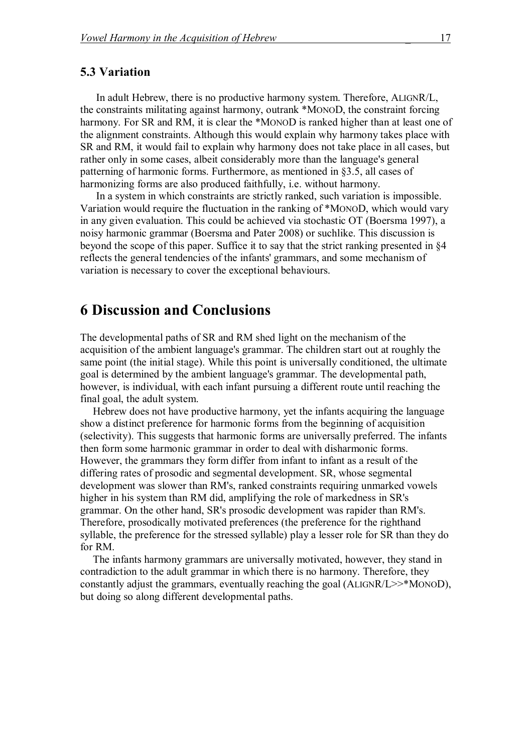#### **5.3 Variation**

In adult Hebrew, there is no productive harmony system. Therefore, ALIGNR/L, the constraints militating against harmony, outrank \*MONOD, the constraint forcing harmony. For SR and RM, it is clear the \*MONOD is ranked higher than at least one of the alignment constraints. Although this would explain why harmony takes place with SR and RM, it would fail to explain why harmony does not take place in all cases, but rather only in some cases, albeit considerably more than the language's general patterning of harmonic forms. Furthermore, as mentioned in §3.5, all cases of harmonizing forms are also produced faithfully, i.e. without harmony.

In a system in which constraints are strictly ranked, such variation is impossible. Variation would require the fluctuation in the ranking of \*MONOD, which would vary in any given evaluation. This could be achieved via stochastic OT (Boersma 1997), a noisy harmonic grammar (Boersma and Pater 2008) or suchlike. This discussion is beyond the scope of this paper. Suffice it to say that the strict ranking presented in §4 reflects the general tendencies of the infants' grammars, and some mechanism of variation is necessary to cover the exceptional behaviours.

## **6 Discussion and Conclusions**

The developmental paths of SR and RM shed light on the mechanism of the acquisition of the ambient language's grammar. The children start out at roughly the same point (the initial stage). While this point is universally conditioned, the ultimate goal is determined by the ambient language's grammar. The developmental path, however, is individual, with each infant pursuing a different route until reaching the final goal, the adult system.

Hebrew does not have productive harmony, yet the infants acquiring the language show a distinct preference for harmonic forms from the beginning of acquisition (selectivity). This suggests that harmonic forms are universally preferred. The infants then form some harmonic grammar in order to deal with disharmonic forms. However, the grammars they form differ from infant to infant as a result of the differing rates of prosodic and segmental development. SR, whose segmental development was slower than RM's, ranked constraints requiring unmarked vowels higher in his system than RM did, amplifying the role of markedness in SR's grammar. On the other hand, SR's prosodic development was rapider than RM's. Therefore, prosodically motivated preferences (the preference for the righthand syllable, the preference for the stressed syllable) play a lesser role for SR than they do for RM.

The infants harmony grammars are universally motivated, however, they stand in contradiction to the adult grammar in which there is no harmony. Therefore, they constantly adjust the grammars, eventually reaching the goal (ALIGNR/L>>\*MONOD), but doing so along different developmental paths.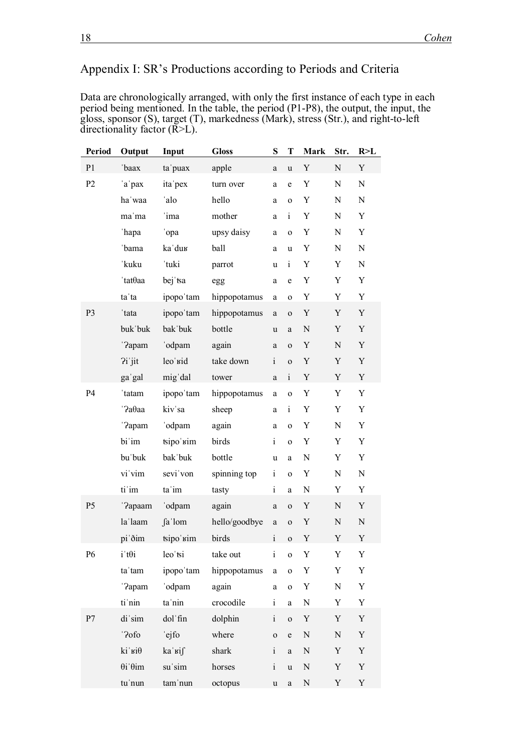## Appendix I: SR's Productions according to Periods and Criteria

Data are chronologically arranged, with only the first instance of each type in each period being mentioned. In the table, the period (P1-P8), the output, the input, the gloss, sponsor (S), target (T), markedness (Mark), stress (Str.), and right-to-left directionality factor  $(\overline{R}L)$ .

| Period         | Output                  | Input            | <b>Gloss</b>  | ${\bf S}$                                                                                                                                                                                                                                                                                                                                                                                                                    | T            | Mark        | Str.      | R > L     |
|----------------|-------------------------|------------------|---------------|------------------------------------------------------------------------------------------------------------------------------------------------------------------------------------------------------------------------------------------------------------------------------------------------------------------------------------------------------------------------------------------------------------------------------|--------------|-------------|-----------|-----------|
| P <sub>1</sub> | 'baax                   | ta'puax          | apple         | $\rm{a}$                                                                                                                                                                                                                                                                                                                                                                                                                     | $\mathbf u$  | Y           | N         | Y         |
| P2             | 'a pax                  | ita pex          | turn over     | a                                                                                                                                                                                                                                                                                                                                                                                                                            | e            | Y           | N         | ${\bf N}$ |
|                | ha waa                  | 'alo             | hello         | a                                                                                                                                                                                                                                                                                                                                                                                                                            | $\mathbf 0$  | Y           | ${\bf N}$ | ${\bf N}$ |
|                | ma'ma                   | ima              | mother        | a                                                                                                                                                                                                                                                                                                                                                                                                                            | $\mathbf{i}$ | Y           | N         | Y         |
|                | 'hapa                   | opa              | upsy daisy    | a                                                                                                                                                                                                                                                                                                                                                                                                                            | $\mathbf{o}$ | Y           | N         | Y         |
|                | 'bama                   | ka'dur           | ball          | a                                                                                                                                                                                                                                                                                                                                                                                                                            | u            | Y           | N         | ${\bf N}$ |
|                | 'kuku                   | 'tuki            | parrot        | u                                                                                                                                                                                                                                                                                                                                                                                                                            | $\mathbf{i}$ | Y           | Y         | ${\bf N}$ |
|                | 'tatθaa                 | bej tsa          | egg           | a                                                                                                                                                                                                                                                                                                                                                                                                                            | e            | Y           | Y         | Y         |
|                | ta'ta                   | ipopo'tam        | hippopotamus  | $\rm{a}$                                                                                                                                                                                                                                                                                                                                                                                                                     | $\mathbf 0$  | Y           | Y         | Y         |
| P <sub>3</sub> | 'tata                   | ipopo'tam        | hippopotamus  | a                                                                                                                                                                                                                                                                                                                                                                                                                            | $\mathbf 0$  | Y           | Y         | Y         |
|                | buk buk                 | bak buk          | bottle        | u                                                                                                                                                                                                                                                                                                                                                                                                                            | $\rm{a}$     | ${\bf N}$   | Y         | Y         |
|                | '?apam                  | 'odpam           | again         | a                                                                                                                                                                                                                                                                                                                                                                                                                            | $\mathbf 0$  | Y           | ${\bf N}$ | Y         |
|                | $2i$ jit                | leo'sid          | take down     | $\rm i$                                                                                                                                                                                                                                                                                                                                                                                                                      | $\mathbf{o}$ | Y           | Y         | Y         |
|                | ga'gal                  | mig'dal          | tower         | a                                                                                                                                                                                                                                                                                                                                                                                                                            | $\rm i$      | Y           | Y         | Y         |
| P4             | 'tatam                  | ipopo'tam        | hippopotamus  | $\rm{a}$                                                                                                                                                                                                                                                                                                                                                                                                                     | $\mathbf 0$  | Y           | Y         | Y         |
|                | '?адаа                  | kiv sa           | sheep         | a                                                                                                                                                                                                                                                                                                                                                                                                                            | $\rm i$      | Y           | Y         | Y         |
|                | '?apam                  | 'odpam           | again         | a                                                                                                                                                                                                                                                                                                                                                                                                                            | $\mathbf 0$  | Y           | ${\bf N}$ | Y         |
|                | bi im                   | tsipo' kim       | birds         | $\mathbf{i}$                                                                                                                                                                                                                                                                                                                                                                                                                 | $\mathbf 0$  | Y           | Y         | Y         |
|                | bu'buk                  | bak'buk          | bottle        | u                                                                                                                                                                                                                                                                                                                                                                                                                            | $\rm{a}$     | N           | Y         | Y         |
|                | vi vim                  | sevi'von         | spinning top  | $\mathbf{i}$                                                                                                                                                                                                                                                                                                                                                                                                                 | $\mathbf 0$  | Y           | N         | ${\bf N}$ |
|                | ti im                   | ta'im            | tasty         | $\rm i$                                                                                                                                                                                                                                                                                                                                                                                                                      | $\rm{a}$     | N           | Y         | Y         |
| P <sub>5</sub> | '?apaam                 | 'odpam           | again         | $\rm{a}$                                                                                                                                                                                                                                                                                                                                                                                                                     | $\mathbf 0$  | Y           | N         | Y         |
|                | la'laam                 | fa lom           | hello/goodbye | $\rm{a}$                                                                                                                                                                                                                                                                                                                                                                                                                     | $\mathbf{o}$ | $\mathbf Y$ | ${\bf N}$ | ${\bf N}$ |
|                | pi'ðim                  | tsipo'sim        | birds         | $\rm i$                                                                                                                                                                                                                                                                                                                                                                                                                      | $\mathbf{o}$ | Y           | Y         | Y         |
| P6             | $i$ 't $\theta$ i       | leo si           | take out      | $\mathbf{i}$                                                                                                                                                                                                                                                                                                                                                                                                                 | $\mathbf 0$  | Y           | Y         | Y         |
|                | ta'tam                  | ipopo'tam        | hippopotamus  | $\rm{a}$                                                                                                                                                                                                                                                                                                                                                                                                                     | $\mathbf 0$  | Y           | Y         | Y         |
|                | '?apam                  | 'odpam           | again         | $\mathbf{a}$                                                                                                                                                                                                                                                                                                                                                                                                                 | $\mathbf 0$  | $\mathbf Y$ | N         | Y         |
|                | ti nin                  | ta 'nin          | crocodile     | $\mathbf{i}$                                                                                                                                                                                                                                                                                                                                                                                                                 | $\rm{a}$     | N           | Y         | Y         |
| P7             | di'sim                  | dol fin          | dolphin       | $\rm i$                                                                                                                                                                                                                                                                                                                                                                                                                      | $\mathbf 0$  | Y           | Y         | Y         |
|                | '?ofo                   | ejfo             | where         | $\mathbf 0$                                                                                                                                                                                                                                                                                                                                                                                                                  | $\mathbf e$  | ${\bf N}$   | N         | Y         |
|                | $ki$ ' ві $\theta$      | ka <sub>кі</sub> | shark         | $\mathbf{i}$                                                                                                                                                                                                                                                                                                                                                                                                                 | $\rm{a}$     | ${\bf N}$   | Y         | Y         |
|                | $\theta$ i' $\theta$ im | su'sim           | horses        | $\rm i$                                                                                                                                                                                                                                                                                                                                                                                                                      | $\mathbf u$  | ${\bf N}$   | Y         | Y         |
|                | tu'nun                  | tam'nun          | octopus       | $\mathbf{u}% =\mathbf{v}^{\prime}+\mathbf{v}^{\prime}+\mathbf{v}^{\prime}+\mathbf{v}^{\prime}+\mathbf{v}+\mathbf{v}+\mathbf{v}+\mathbf{v}+\mathbf{v}+\mathbf{v}+\mathbf{v}+\mathbf{v}+\mathbf{v}+\mathbf{v}+\mathbf{v}+\mathbf{v}+\mathbf{v}+\mathbf{v}+\mathbf{v}+\mathbf{v}+\mathbf{v}+\mathbf{v}+\mathbf{v}+\mathbf{v}+\mathbf{v}+\mathbf{v}+\mathbf{v}+\mathbf{v}+\mathbf{v}+\mathbf{v}+\mathbf{v}+\mathbf{v}+\mathbf{v$ | $\rm{a}$     | N           | Y         | Y         |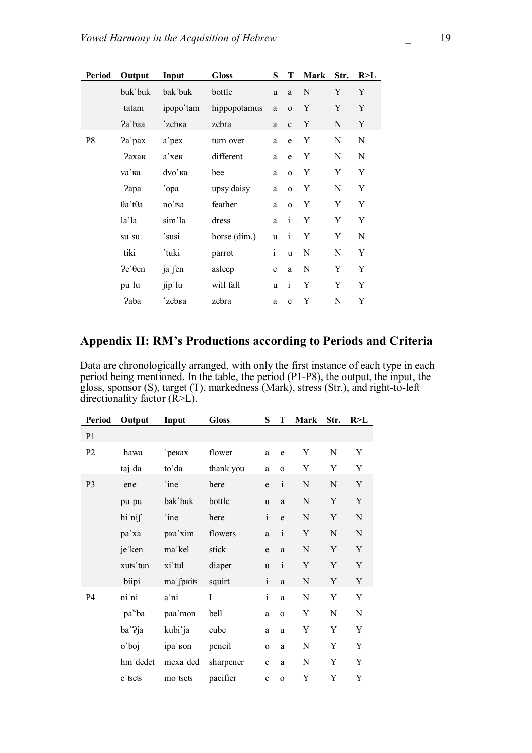| Period | Output                  | Input     | <b>Gloss</b> | S            | T            | Mark      | Str. | R > L |
|--------|-------------------------|-----------|--------------|--------------|--------------|-----------|------|-------|
|        | buk buk                 | bak buk   | bottle       | u            | a            | N         | Y    | Y     |
|        | 'tatam                  | ipopo'tam | hippopotamus | $\mathbf{a}$ | $\mathbf{o}$ | Y         | Y    | Y     |
|        | Pa baa                  | 'zebra    | zebra        | a            | e            | Y         | N    | Y     |
| P8     | Pa'pax                  | a pex     | turn over    | a            | $\mathbf e$  | Y         | N    | N     |
|        | ' ?ахак                 | а хек     | different    | a            | e            | Y         | N    | N     |
|        | va 'ва                  | dvo' ka   | bee          | a            | $\mathbf{o}$ | Y         | Y    | Y     |
|        | '?apa                   | opa       | upsy daisy   | $\rm{a}$     | $\mathbf{o}$ | Y         | N    | Y     |
|        | $\theta$ a't $\theta$ a | no'tsa    | feather      | a            | $\mathbf{o}$ | Y         | Y    | Y     |
|        | la la                   | sim la    | dress        | $\mathbf{a}$ | $\mathbf{i}$ | Y         | Y    | Y     |
|        | su'su                   | susi      | horse (dim.) | u            | $\mathbf{i}$ | Y         | Y    | N     |
|        | 'tiki                   | 'tuki     | parrot       | $\rm i$      | <b>u</b>     | ${\bf N}$ | N    | Y     |
|        | $\text{Pe}'\theta$ en   | ja fen    | asleep       | e            | a            | N         | Y    | Y     |
|        | pu'lu                   | jip'lu    | will fall    | u            | $\mathbf{i}$ | Y         | Y    | Y     |
|        | '?aba                   | zebra     | zebra        | a            | e            | Y         | N    | Y     |

### **Appendix II: RM's Productions according to Periods and Criteria**

Data are chronologically arranged, with only the first instance of each type in each period being mentioned. In the table, the period (P1-P8), the output, the input, the gloss, sponsor (S), target (T), markedness (Mark), stress (Str.), and right-to-left directionality factor (R>L).

| Period         | Output              | Input              | <b>Gloss</b> | S            | T              | <b>Mark</b> | Str.        | R>L         |
|----------------|---------------------|--------------------|--------------|--------------|----------------|-------------|-------------|-------------|
| P <sub>1</sub> |                     |                    |              |              |                |             |             |             |
| P <sub>2</sub> | 'hawa               | ревах              | flower       | a            | e              | Y           | N           | Y           |
|                | taj da              | to'da              | thank you    | a            | $\overline{O}$ | Y           | Y           | Y           |
| P <sub>3</sub> | ene                 | 'ine               | here         | e            | $\mathbf{i}$   | $\mathbf N$ | ${\bf N}$   | Y           |
|                | pu'pu               | bak buk            | bottle       | u            | a              | $\mathbf N$ | Y           | $\mathbf Y$ |
|                | hi'nif              | 'ine               | here         | $\mathbf{i}$ | $\mathbf e$    | $\mathbf N$ | Y           | ${\bf N}$   |
|                | pa'xa               | рка 'xim           | flowers      | a            | $\mathbf{i}$   | $\mathbf Y$ | ${\bf N}$   | ${\bf N}$   |
|                | je ken              | ma'kel             | stick        | e            | a              | $\mathbf N$ | $\mathbf Y$ | Y           |
|                | xuts'tun            | xi tul             | diaper       | u            | $\mathbf{i}$   | Y           | $\mathbf Y$ | Y           |
|                | 'biipi              | ma fpuits          | squirt       | $\mathbf{i}$ | $\mathbf{a}$   | ${\bf N}$   | Y           | Y           |
| P4             | ni'ni               | a ni               | I            | $\mathbf{i}$ | a              | $\mathbf N$ | Y           | Y           |
|                | 'pa <sup>w</sup> ba | paa'mon            | bell         | a            | $\overline{O}$ | Y           | ${\bf N}$   | ${\bf N}$   |
|                | ba ?ja              | kubi ja            | cube         | a            | u              | Y           | Y           | Y           |
|                | o'boj               | ipa <sub>kon</sub> | pencil       | $\mathbf{o}$ | a              | $\mathbf N$ | Y           | Y           |
|                | hm dedet            | mexa'ded           | sharpener    | e            | a              | N           | Y           | Y           |
|                | e sets              | mo'tsets           | pacifier     | e            | $\overline{O}$ | Y           | Y           | Y           |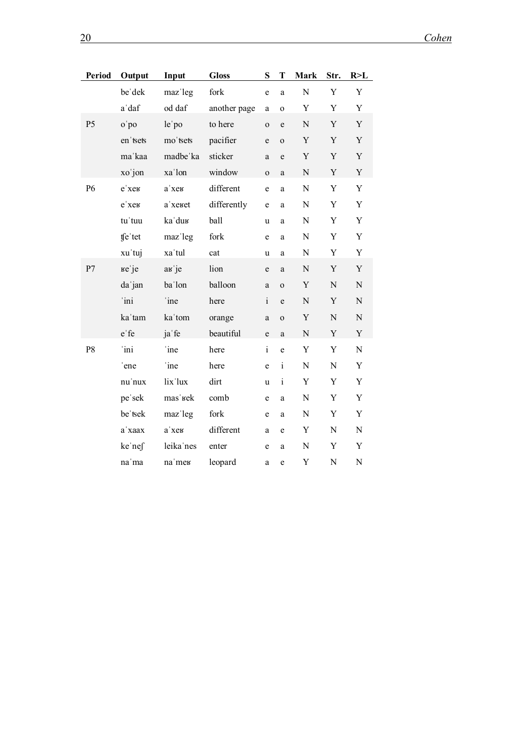| Period         | Output    | Input     | <b>Gloss</b> | ${\bf S}$    | Т            | <b>Mark</b> | Str.        | R > L       |
|----------------|-----------|-----------|--------------|--------------|--------------|-------------|-------------|-------------|
|                | be dek    | maz'leg   | fork         | e            | a            | $\mathbf N$ | Y           | $\mathbf Y$ |
|                | a'daf     | od daf    | another page | $\rm{a}$     | $\mathbf 0$  | Y           | Y           | Y           |
| P <sub>5</sub> | o'po      | le'po     | to here      | $\mathbf{o}$ | e            | ${\bf N}$   | Y           | $\mathbf Y$ |
|                | en 'tsets | mo'tsets  | pacifier     | $\mathbf e$  | $\mathbf{O}$ | Y           | Y           | Y           |
|                | ma'kaa    | madbe ka  | sticker      | a            | e            | $\mathbf Y$ | Y           | $\mathbf Y$ |
|                | xo'jon    | xa'lon    | window       | $\mathbf{O}$ | $\mathbf{a}$ | ${\bf N}$   | Y           | $\mathbf Y$ |
| P6             | е хек     | а хек     | different    | $\mathbf e$  | a            | ${\bf N}$   | $\mathbf Y$ | $\mathbf Y$ |
|                | е хек     | a'xeret   | differently  | $\mathbf e$  | a            | ${\bf N}$   | Y           | Y           |
|                | tu'tuu    | ka'dur    | ball         | $\mathbf u$  | a            | ${\bf N}$   | Y           | Y           |
|                | tfe'tet   | maz'leg   | fork         | $\mathbf e$  | a            | ${\bf N}$   | Y           | Y           |
|                | xu'tuj    | xa'tul    | cat          | u            | a            | ${\bf N}$   | Y           | $\mathbf Y$ |
| P7             | ке је     | ав је     | lion         | $\mathbf e$  | a            | ${\bf N}$   | Y           | Y           |
|                | da jan    | ba'lon    | balloon      | $\mathbf{a}$ | $\mathbf{O}$ | $\mathbf Y$ | ${\bf N}$   | ${\bf N}$   |
|                | 'ini      | ine       | here         | $\mathbf{i}$ | e            | ${\bf N}$   | Y           | ${\bf N}$   |
|                | ka'tam    | ka'tom    | orange       | $\mathbf{a}$ | $\mathbf 0$  | Y           | ${\bf N}$   | ${\bf N}$   |
|                | e fe      | ja fe     | beautiful    | $\rm e$      | $\mathbf{a}$ | ${\bf N}$   | $\mathbf Y$ | $\mathbf Y$ |
| P8             | ini       | ine       | here         | $\mathbf{i}$ | $\mathbf e$  | $\mathbf Y$ | $\mathbf Y$ | ${\bf N}$   |
|                | ene       | ine       | here         | $\mathbf e$  | $\mathbf{i}$ | ${\bf N}$   | N           | Y           |
|                | nu'nux    | lix'lux   | dirt         | $\mathbf u$  | $\mathbf{i}$ | $\mathbf Y$ | $\mathbf Y$ | $\mathbf Y$ |
|                | pe'sek    | mas' sek  | comb         | e            | $\mathbf{a}$ | ${\bf N}$   | Y           | Y           |
|                | be tsek   | maz'leg   | fork         | ${\rm e}$    | $\mathbf a$  | ${\bf N}$   | Y           | Y           |
|                | a'xaax    | а хек     | different    | $\mathbf{a}$ | e            | $\mathbf Y$ | ${\bf N}$   | N           |
|                | ke nef    | leika'nes | enter        | e            | $\mathbf a$  | ${\bf N}$   | Y           | Y           |
|                | na 'ma    | na'mer    | leopard      | a            | e            | $\mathbf Y$ | ${\bf N}$   | ${\bf N}$   |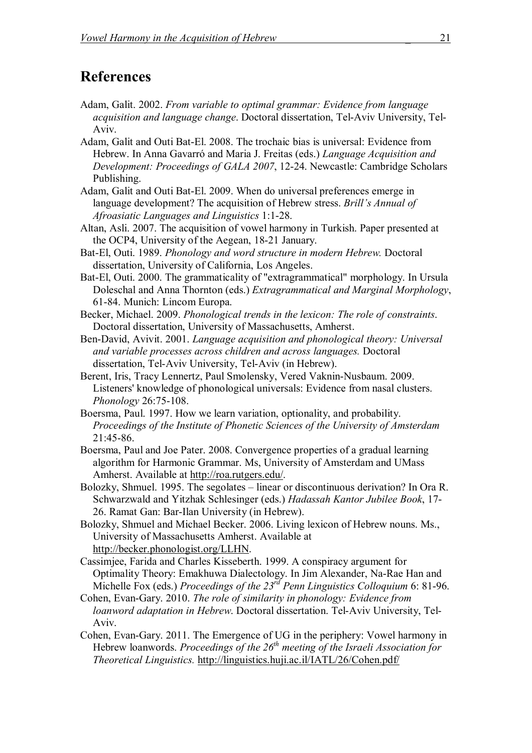## **References**

- Adam, Galit. 2002. *From variable to optimal grammar: Evidence from language acquisition and language change*. Doctoral dissertation, Tel-Aviv University, Tel-Aviv.
- Adam, Galit and Outi Bat-El. 2008. The trochaic bias is universal: Evidence from Hebrew. In Anna Gavarró and Maria J. Freitas (eds.) *Language Acquisition and Development: Proceedings of GALA 2007*, 12-24. Newcastle: Cambridge Scholars Publishing.
- Adam, Galit and Outi Bat-El. 2009. When do universal preferences emerge in language development? The acquisition of Hebrew stress. *Brill's Annual of Afroasiatic Languages and Linguistics* 1:1-28.
- Altan, Asli. 2007. The acquisition of vowel harmony in Turkish. Paper presented at the OCP4, University of the Aegean, 18-21 January.
- Bat-El, Outi. 1989. *Phonology and word structure in modern Hebrew.* Doctoral dissertation, University of California, Los Angeles.
- Bat-El, Outi. 2000. The grammaticality of "extragrammatical" morphology. In Ursula Doleschal and Anna Thornton (eds.) *Extragrammatical and Marginal Morphology*, 61-84. Munich: Lincom Europa.
- Becker, Michael. 2009. *Phonological trends in the lexicon: The role of constraints*. Doctoral dissertation, University of Massachusetts, Amherst.
- Ben-David, Avivit. 2001. *Language acquisition and phonological theory: Universal and variable processes across children and across languages.* Doctoral dissertation, Tel-Aviv University, Tel-Aviv (in Hebrew).
- Berent, Iris, Tracy Lennertz, Paul Smolensky, Vered Vaknin-Nusbaum. 2009. Listeners' knowledge of phonological universals: Evidence from nasal clusters. *Phonology* 26:75-108.
- Boersma, Paul. 1997. How we learn variation, optionality, and probability. *Proceedings of the Institute of Phonetic Sciences of the University of Amsterdam*  21:45-86.
- Boersma, Paul and Joe Pater. 2008. Convergence properties of a gradual learning algorithm for Harmonic Grammar. Ms, University of Amsterdam and UMass Amherst. Available at http://roa.rutgers.edu/.
- Bolozky, Shmuel. 1995. The segolates linear or discontinuous derivation? In Ora R. Schwarzwald and Yitzhak Schlesinger (eds.) *Hadassah Kantor Jubilee Book*, 17- 26. Ramat Gan: Bar-Ilan University (in Hebrew).
- Bolozky, Shmuel and Michael Becker. 2006. Living lexicon of Hebrew nouns. Ms., University of Massachusetts Amherst. Available at http://becker.phonologist.org/LLHN.
- Cassimjee, Farida and Charles Kisseberth. 1999. A conspiracy argument for Optimality Theory: Emakhuwa Dialectology. In Jim Alexander, Na-Rae Han and Michelle Fox (eds.) *Proceedings of the 23rd Penn Linguistics Colloquium* 6: 81-96.
- Cohen, Evan-Gary. 2010. *The role of similarity in phonology: Evidence from loanword adaptation in Hebrew*. Doctoral dissertation. Tel-Aviv University, Tel-Aviv.
- Cohen, Evan-Gary. 2011. The Emergence of UG in the periphery: Vowel harmony in Hebrew loanwords. *Proceedings of the 26th meeting of the Israeli Association for Theoretical Linguistics.* http://linguistics.huji.ac.il/IATL/26/Cohen.pdf/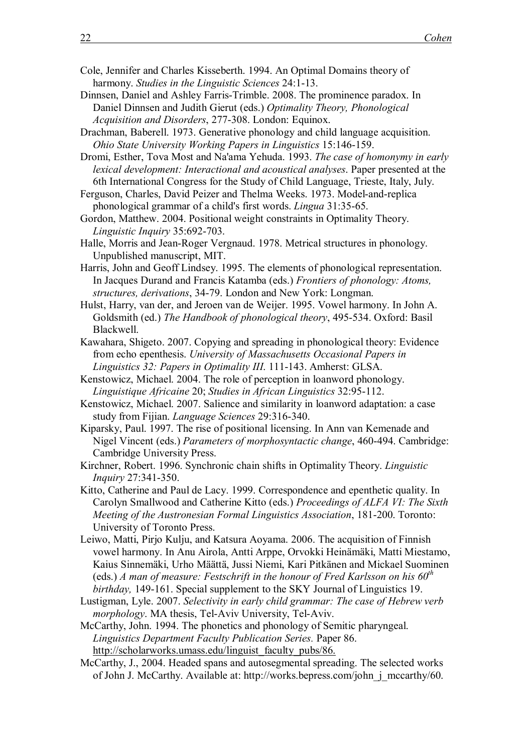- Cole, Jennifer and Charles Kisseberth. 1994. An Optimal Domains theory of harmony. *Studies in the Linguistic Sciences* 24:1-13.
- Dinnsen, Daniel and Ashley Farris-Trimble. 2008. The prominence paradox. In Daniel Dinnsen and Judith Gierut (eds.) *Optimality Theory, Phonological Acquisition and Disorders*, 277-308. London: Equinox.
- Drachman, Baberell. 1973. Generative phonology and child language acquisition. *Ohio State University Working Papers in Linguistics* 15:146-159.
- Dromi, Esther, Tova Most and Na'ama Yehuda. 1993. *The case of homonymy in early lexical development: Interactional and acoustical analyses*. Paper presented at the 6th International Congress for the Study of Child Language, Trieste, Italy, July.
- Ferguson, Charles, David Peizer and Thelma Weeks. 1973. Model-and-replica phonological grammar of a child's first words. *Lingua* 31:35-65.
- Gordon, Matthew. 2004. Positional weight constraints in Optimality Theory. *Linguistic Inquiry* 35:692-703.
- Halle, Morris and Jean-Roger Vergnaud. 1978. Metrical structures in phonology. Unpublished manuscript, MIT.
- Harris, John and Geoff Lindsey. 1995. The elements of phonological representation. In Jacques Durand and Francis Katamba (eds.) *Frontiers of phonology: Atoms, structures, derivations*, 34-79. London and New York: Longman.
- Hulst, Harry, van der, and Jeroen van de Weijer. 1995. Vowel harmony. In John A. Goldsmith (ed.) *The Handbook of phonological theory*, 495-534. Oxford: Basil Blackwell.
- Kawahara, Shigeto. 2007. Copying and spreading in phonological theory: Evidence from echo epenthesis. *University of Massachusetts Occasional Papers in Linguistics 32: Papers in Optimality III*. 111-143. Amherst: GLSA.
- Kenstowicz, Michael. 2004. The role of perception in loanword phonology. *Linguistique Africaine* 20; *Studies in African Linguistics* 32:95-112.
- Kenstowicz, Michael. 2007. Salience and similarity in loanword adaptation: a case study from Fijian. *Language Sciences* 29:316-340.
- Kiparsky, Paul. 1997. The rise of positional licensing. In Ann van Kemenade and Nigel Vincent (eds.) *Parameters of morphosyntactic change*, 460-494. Cambridge: Cambridge University Press.
- Kirchner, Robert. 1996. Synchronic chain shifts in Optimality Theory. *Linguistic Inquiry* 27:341-350.
- Kitto, Catherine and Paul de Lacy. 1999. Correspondence and epenthetic quality. In Carolyn Smallwood and Catherine Kitto (eds.) *Proceedings of ALFA VI: The Sixth Meeting of the Austronesian Formal Linguistics Association*, 181-200. Toronto: University of Toronto Press.
- Leiwo, Matti, Pirjo Kulju, and Katsura Aoyama. 2006. The acquisition of Finnish vowel harmony. In Anu Airola, Antti Arppe, Orvokki Heinämäki, Matti Miestamo, Kaius Sinnemäki, Urho Määttä, Jussi Niemi, Kari Pitkänen and Mickael Suominen (eds.) *A man of measure: Festschrift in the honour of Fred Karlsson on his 60th birthday,* 149-161. Special supplement to the SKY Journal of Linguistics 19.
- Lustigman, Lyle. 2007. *Selectivity in early child grammar: The case of Hebrew verb morphology*. MA thesis, Tel-Aviv University, Tel-Aviv.
- McCarthy, John. 1994. The phonetics and phonology of Semitic pharyngeal. *Linguistics Department Faculty Publication Series.* Paper 86. http://scholarworks.umass.edu/linguist\_faculty\_pubs/86.
- McCarthy, J., 2004. Headed spans and autosegmental spreading. The selected works of John J. McCarthy. Available at: http://works.bepress.com/john\_j\_mccarthy/60.